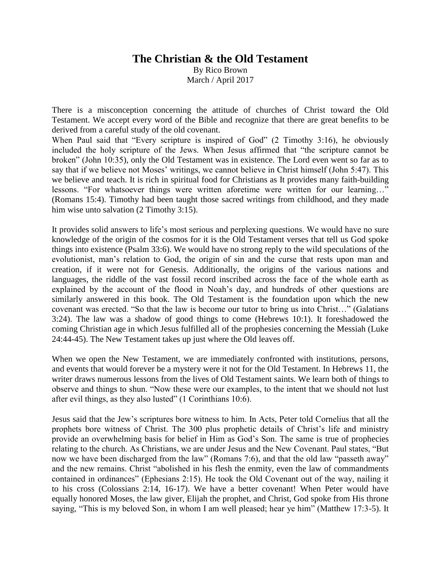## **The Christian & the Old Testament**

By Rico Brown March / April 2017

There is a misconception concerning the attitude of churches of Christ toward the Old Testament. We accept every word of the Bible and recognize that there are great benefits to be derived from a careful study of the old covenant.

When Paul said that "Every scripture is inspired of God" (2 Timothy 3:16), he obviously included the holy scripture of the Jews. When Jesus affirmed that "the scripture cannot be broken" (John 10:35), only the Old Testament was in existence. The Lord even went so far as to say that if we believe not Moses' writings, we cannot believe in Christ himself (John 5:47). This we believe and teach. It is rich in spiritual food for Christians as It provides many faith-building lessons. "For whatsoever things were written aforetime were written for our learning…" (Romans 15:4). Timothy had been taught those sacred writings from childhood, and they made him wise unto salvation (2 Timothy 3:15).

It provides solid answers to life's most serious and perplexing questions. We would have no sure knowledge of the origin of the cosmos for it is the Old Testament verses that tell us God spoke things into existence (Psalm 33:6). We would have no strong reply to the wild speculations of the evolutionist, man's relation to God, the origin of sin and the curse that rests upon man and creation, if it were not for Genesis. Additionally, the origins of the various nations and languages, the riddle of the vast fossil record inscribed across the face of the whole earth as explained by the account of the flood in Noah's day, and hundreds of other questions are similarly answered in this book. The Old Testament is the foundation upon which the new covenant was erected. "So that the law is become our tutor to bring us into Christ…" (Galatians 3:24). The law was a shadow of good things to come (Hebrews 10:1). It foreshadowed the coming Christian age in which Jesus fulfilled all of the prophesies concerning the Messiah (Luke 24:44-45). The New Testament takes up just where the Old leaves off.

When we open the New Testament, we are immediately confronted with institutions, persons, and events that would forever be a mystery were it not for the Old Testament. In Hebrews 11, the writer draws numerous lessons from the lives of Old Testament saints. We learn both of things to observe and things to shun. "Now these were our examples, to the intent that we should not lust after evil things, as they also lusted" (1 Corinthians 10:6).

Jesus said that the Jew's scriptures bore witness to him. In Acts, Peter told Cornelius that all the prophets bore witness of Christ. The 300 plus prophetic details of Christ's life and ministry provide an overwhelming basis for belief in Him as God's Son. The same is true of prophecies relating to the church. As Christians, we are under Jesus and the New Covenant. Paul states, "But now we have been discharged from the law" (Romans 7:6), and that the old law "passeth away" and the new remains. Christ "abolished in his flesh the enmity, even the law of commandments contained in ordinances" (Ephesians 2:15). He took the Old Covenant out of the way, nailing it to his cross (Colossians 2:14, 16-17). We have a better covenant! When Peter would have equally honored Moses, the law giver, Elijah the prophet, and Christ, God spoke from His throne saying, "This is my beloved Son, in whom I am well pleased; hear ye him" (Matthew 17:3-5). It